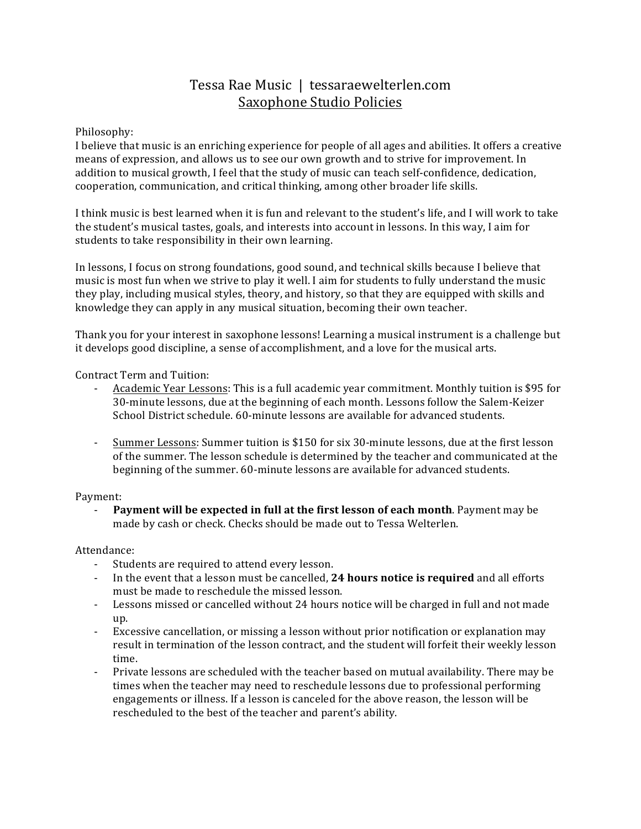# Tessa Rae Music | tessaraewelterlen.com Saxophone Studio Policies

## Philosophy:

I believe that music is an enriching experience for people of all ages and abilities. It offers a creative means of expression, and allows us to see our own growth and to strive for improvement. In addition to musical growth, I feel that the study of music can teach self-confidence, dedication, cooperation, communication, and critical thinking, among other broader life skills.

I think music is best learned when it is fun and relevant to the student's life, and I will work to take the student's musical tastes, goals, and interests into account in lessons. In this way, I aim for students to take responsibility in their own learning.

In lessons, I focus on strong foundations, good sound, and technical skills because I believe that music is most fun when we strive to play it well. I aim for students to fully understand the music they play, including musical styles, theory, and history, so that they are equipped with skills and knowledge they can apply in any musical situation, becoming their own teacher.

Thank you for your interest in saxophone lessons! Learning a musical instrument is a challenge but it develops good discipline, a sense of accomplishment, and a love for the musical arts.

Contract Term and Tuition:

- Academic Year Lessons: This is a full academic year commitment. Monthly tuition is \$95 for 30-minute lessons, due at the beginning of each month. Lessons follow the Salem-Keizer School District schedule. 60-minute lessons are available for advanced students.
- Summer Lessons: Summer tuition is \$150 for six 30-minute lessons, due at the first lesson of the summer. The lesson schedule is determined by the teacher and communicated at the beginning of the summer. 60-minute lessons are available for advanced students.

### Payment:

**Payment will be expected in full at the first lesson of each month**. Payment may be made by cash or check. Checks should be made out to Tessa Welterlen.

Attendance:

- Students are required to attend every lesson.
- In the event that a lesson must be cancelled, **24 hours notice is required** and all efforts must be made to reschedule the missed lesson.
- Lessons missed or cancelled without 24 hours notice will be charged in full and not made up.
- Excessive cancellation, or missing a lesson without prior notification or explanation may result in termination of the lesson contract, and the student will forfeit their weekly lesson time.
- Private lessons are scheduled with the teacher based on mutual availability. There may be times when the teacher may need to reschedule lessons due to professional performing engagements or illness. If a lesson is canceled for the above reason, the lesson will be rescheduled to the best of the teacher and parent's ability.